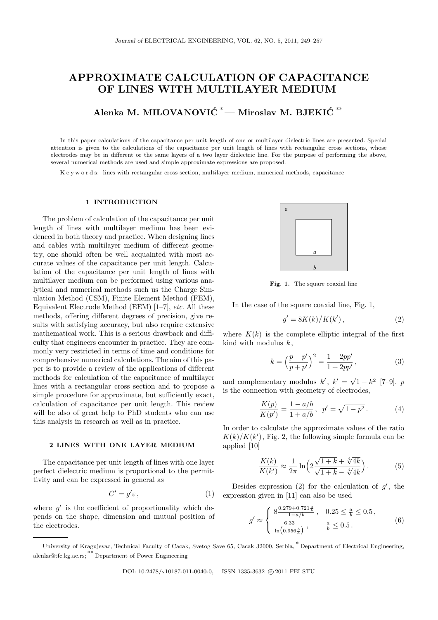# **APPROXIMATE CALCULATION OF CAPACITANCE OF LINES WITH MULTILAYER MEDIUM**

**Alenka M. MILOVANOVIC´** *<sup>∗</sup>***— Miroslav M. BJEKIC´** *∗∗*

In this paper calculations of the capacitance per unit length of one or multilayer dielectric lines are presented. Special attention is given to the calculations of the capacitance per unit length of lines with rectangular cross sections, whose electrodes may be in different or the same layers of a two layer dielectric line. For the purpose of performing the above, several numerical methods are used and simple approximate expressions are proposed.

K e y w o r d s: lines with rectangular cross section, multilayer medium, numerical methods, capacitance

## **1 INTRODUCTION**

The problem of calculation of the capacitance per unit length of lines with multilayer medium has been evidenced in both theory and practice. When designing lines and cables with multilayer medium of different geometry, one should often be well acquainted with most accurate values of the capacitance per unit length. Calculation of the capacitance per unit length of lines with multilayer medium can be performed using various analytical and numerical methods such us the Charge Simulation Method (CSM), Finite Element Method (FEM), Equivalent Electrode Method (EEM) [1–7], *etc*. All these methods, offering different degrees of precision, give results with satisfying accuracy, but also require extensive mathematical work. This is a serious drawback and difficulty that engineers encounter in practice. They are commonly very restricted in terms of time and conditions for comprehensive numerical calculations. The aim of this paper is to provide a review of the applications of different methods for calculation of the capacitance of multilayer lines with a rectangular cross section and to propose a simple procedure for approximate, but sufficiently exact, calculation of capacitance per unit length. This review will be also of great help to PhD students who can use this analysis in research as well as in practice.

#### **2 LINES WITH ONE LAYER MEDIUM**

The capacitance per unit length of lines with one layer perfect dielectric medium is proportional to the permittivity and can be expressed in general as

$$
C' = g'\varepsilon,\tag{1}
$$

where  $g'$  is the coefficient of proportionality which depends on the shape, dimension and mutual position of the electrodes.



**Fig. 1.** The square coaxial line

In the case of the square coaxial line, Fig. 1,

$$
g' = 8K(k)/K(k'),\tag{2}
$$

where  $K(k)$  is the complete elliptic integral of the first kind with modulus *k* ,

$$
k = \left(\frac{p - p'}{p + p'}\right)^2 = \frac{1 - 2pp'}{1 + 2pp'},
$$
 (3)

and complementary modulus  $k'$ ,  $k' = \sqrt{1 - k^2}$  [7–9]. *p* is the connection with geometry of electrodes,

$$
\frac{K(p)}{K(p')} = \frac{1 - a/b}{1 + a/b}, \ \ p' = \sqrt{1 - p^2}.
$$
 (4)

In order to calculate the approximate values of the ratio  $K(k)/K(k')$ , Fig. 2, the following simple formula can be applied [10]

$$
\frac{K(k)}{K(k')} \approx \frac{1}{2\pi} \ln \left( 2\frac{\sqrt{1+k} + \sqrt[4]{4k}}{\sqrt{1+k} - \sqrt[4]{4k}} \right).
$$
 (5)

Besides expression (2) for the calculation of  $g'$ , the expression given in [11] can also be used

$$
g' \approx \begin{cases} 8 \frac{0.279 + 0.721 \frac{a}{b}}{1 - a/b}, & 0.25 \le \frac{a}{b} \le 0.5, \\ \frac{6.33}{\ln(0.956 \frac{b}{a})}, & \frac{a}{b} \le 0.5. \end{cases}
$$
(6)

University of Kragujevac, Technical Faculty of Cacak, Svetog Save 65, Cacak 32000, Serbia, *∗* Department of Electrical Engineering, alenka@tfc.kg.ac.rs; *∗∗* Department of Power Engineering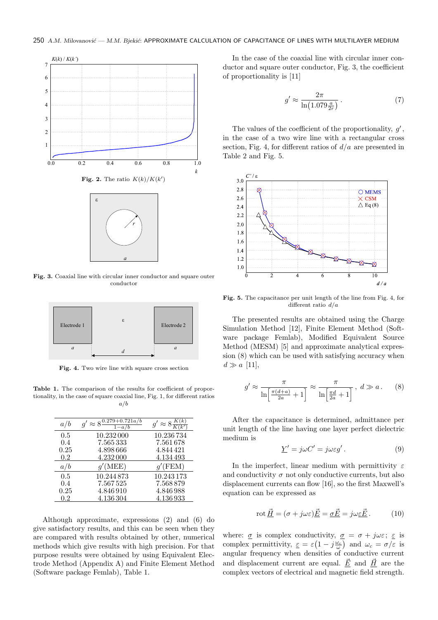

**Fig. 3.** Coaxial line with circular inner conductor and square outer conductor



Fig. 4. Two wire line with square cross section

Table 1. The comparison of the results for coefficient of proportionality, in the case of square coaxial line, Fig. 1, for different ratios *a/b*

| a/b     | $g' \approx 8\frac{0.279 + 0.721a/b}{h}$<br>$1-a/b$ | $g' \approx 8 \frac{K(k)}{K(k')}$ |
|---------|-----------------------------------------------------|-----------------------------------|
| 0.5     | 10.232000                                           | 10.236 734                        |
| 0.4     | 7.565333                                            | 7.561678                          |
| 0.25    | 4.898666                                            | 4.844421                          |
| 0.2     | 4.232 000                                           | 4.134 493                         |
| a/b     | $q'(\text{MEE})$                                    | $q'$ (FEM)                        |
| 0.5     | 10.244873                                           | 10.243 173                        |
| 0.4     | 7.567525                                            | 7.568879                          |
| 0.25    | 4.846910                                            | 4.846988                          |
| $0.2\,$ | 4.136 304                                           | 4.136933                          |

Although approximate, expressions (2) and (6) do give satisfactory results, and this can be seen when they are compared with results obtained by other, numerical methods which give results with high precision. For that purpose results were obtained by using Equivalent Electrode Method (Appendix A) and Finite Element Method (Software package Femlab), Table 1.

In the case of the coaxial line with circular inner conductor and square outer conductor, Fig. 3, the coefficient of proportionality is [11]

$$
g' \approx \frac{2\pi}{\ln\left(1.079\frac{a}{2r}\right)}\,. \tag{7}
$$

The values of the coefficient of the proportionality, *g ′* , in the case of a two wire line with a rectangular cross section, Fig. 4, for different ratios of *d/a* are presented in Table 2 and Fig. 5.



**Fig. 5.** The capacitance per unit length of the line from Fig. 4, for different ratio *d/a*

The presented results are obtained using the Charge Simulation Method [12], Finite Element Method (Software package Femlab), Modified Equivalent Source Method (MESM) [5] and approximate analytical expression (8) which can be used with satisfying accuracy when  $d \gg a$  [11],

$$
g' \approx \frac{\pi}{\ln\left[\frac{\pi(d+a)}{2a} + 1\right]} \approx \frac{\pi}{\ln\left[\frac{\pi d}{2a} + 1\right]}, \ d \gg a. \tag{8}
$$

After the capacitance is determined, admittance per unit length of the line having one layer perfect dielectric medium is

$$
\underline{Y}' = j\omega C' = j\omega \varepsilon g' \,. \tag{9}
$$

In the imperfect, linear medium with permittivity *ε* and conductivity  $\sigma$  not only conductive currents, but also displacement currents can flow [16], so the first Maxwell's equation can be expressed as

$$
\operatorname{rot} \underline{\vec{H}} = (\sigma + j\omega\varepsilon)\underline{\vec{E}} = \underline{\sigma}\underline{\vec{E}} = j\omega\varepsilon\underline{\vec{E}}.
$$
 (10)

where:  $\sigma$  is complex conductivity,  $\sigma = \sigma + j\omega\varepsilon$ ;  $\varepsilon$  is complex permittivity,  $\varepsilon = \varepsilon \left(1 - j \frac{\omega_c}{\omega}\right)$  and  $\omega_c = \sigma/\varepsilon$  is angular frequency when densities of conductive current and displacement current are equal.  $\underline{\vec{E}}$  and  $\underline{\vec{H}}$  are the complex vectors of electrical and magnetic field strength.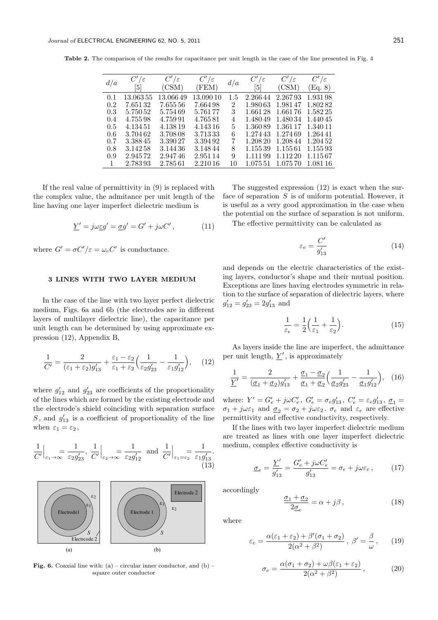**Table 2.** The comparison of the results for capacitance per unit length in the case of the line presented in Fig. 4

| d/a           | $C'/\varepsilon$<br> 5 | $C'/\varepsilon$<br>(CSM) | $C'/\varepsilon$<br>(FEM) | $d/a$          | $C'/\varepsilon$<br> 5 | $C'/\varepsilon$<br>(CSM) | $C'/\varepsilon$<br>(Eq. 8) |
|---------------|------------------------|---------------------------|---------------------------|----------------|------------------------|---------------------------|-----------------------------|
| 0.1           | 13.063.55              | 13.06649                  | 13.09010                  | $1.5\,$        | 2.26644                | 2.26793                   | 1.931.98                    |
| 0.2           | 7.65132                | 7.65556                   | 7.664.98                  | $\overline{2}$ | 1.980.63               | 1.98147                   | 1.80282                     |
| 0.3           | 5.75052                | 5.75469                   | 5.761 77                  | 3              | 1.66128                | 1.66176                   | 1.582.25                    |
| 0.4           | 4.755.98               | 4.759.91                  | 4.76581                   | 4              | 1.480.49               | 1.480.34                  | 1.440.45                    |
| $0.5^{\circ}$ | 4.134.51               | 4.138.19                  | 4.143.16                  | 5              | 1.36089                | 1.36117                   | 1.340.11                    |
| 0.6           | 3.70462                | 3.708.08                  | 3.71333                   | 6              | 1.27443                | 1.274.69                  | 1.264.41                    |
| 0.7           | 3.38845                | 3.39027                   | 3.39492                   | 7              | 1.208 20               | 1.20844                   | 1.204.52                    |
| 0.8           | 3.142.58               | 3.144.36                  | 3.148.44                  | 8              | 1.15539                | 1.15561                   | 1.15593                     |
| 0.9           | 2.94572                | 2.94746                   | 2.951 14                  | 9              | 1.111.99               | 1.112 20                  | 1.115.67                    |
|               | 2.78393                | 2.78561                   | 2.210.16                  | 10             | 1.075.51               | 1.075.70                  | 1.081.16                    |

If the real value of permittivity in (9) is replaced with the complex value, the admitance per unit length of the line having one layer imperfect dielectric medium is

$$
\underline{Y}' = j\omega \underline{\varepsilon} g' = \underline{\sigma} g' = G' + j\omega C', \qquad (11)
$$

where  $G' = \sigma C'/\varepsilon = \omega_c C'$  is conductance.

# **3 LINES WITH TWO LAYER MEDIUM**

In the case of the line with two layer perfect dielectric medium, Figs. 6a and 6b (the electrodes are in different layers of multilayer dielectric line), the capacitance per unit length can be determined by using approximate expression (12), Appendix B,

$$
\frac{1}{C'} = \frac{2}{(\varepsilon_1 + \varepsilon_2)g'_{13}} + \frac{\varepsilon_1 - \varepsilon_2}{\varepsilon_1 + \varepsilon_2} \Big(\frac{1}{\varepsilon_2 g'_{23}} - \frac{1}{\varepsilon_1 g'_{12}}\Big), \quad (12)
$$

where  $g'_{12}$  and  $g'_{23}$  are coefficients of the proportionality of the lines which are formed by the existing electrode and the electrode's shield coinciding with separation surface  $S$ , and  $g'_{13}$  is a coefficient of proportionality of the line when  $\varepsilon_1 = \varepsilon_2$ ,

$$
\frac{1}{C'}\Big|_{\varepsilon_1 \to \infty} = \frac{1}{\varepsilon_2 g'_{23}}, \frac{1}{C'}\Big|_{\varepsilon_2 \to \infty} = \frac{1}{\varepsilon_2 g'_{12}} \text{ and } \frac{1}{C'}\Big|_{\varepsilon_1 = \varepsilon_2} = \frac{1}{\varepsilon_1 g'_{13}}.
$$
\n(13)



**Fig. 6.** Coaxial line with: (a) – circular inner conductor, and (b) – square outer conductor

The suggested expression (12) is exact when the surface of separation *S* is of uniform potential. However, it is useful as a very good approximation in the case when the potential on the surface of separation is not uniform.

The effective permittivity can be calculated as

$$
\varepsilon_e = \frac{C'}{g'_{13}}\tag{14}
$$

and depends on the electric characteristics of the existing layers, conductor's shape and their mutual position. Exceptions are lines having electrodes symmetric in relation to the surface of separation of dielectric layers, where  $g'_{12} = g'_{23} = 2g'_{13}$  and

$$
\frac{1}{\varepsilon_e} = \frac{1}{2} \left( \frac{1}{\varepsilon_1} + \frac{1}{\varepsilon_2} \right). \tag{15}
$$

As layers inside the line are imperfect, the admittance per unit length,  $Y'$ , is approximately

$$
\frac{1}{\underline{Y}'} = \frac{2}{(\underline{\sigma}_1 + \underline{\sigma}_2)g'_{13}} + \frac{\underline{\sigma}_1 - \underline{\sigma}_2}{\underline{\sigma}_1 + \underline{\sigma}_2} \Big(\frac{1}{\underline{\sigma}_2 g'_{23}} - \frac{1}{\underline{\sigma}_1 g'_{12}}\Big), \quad (16)
$$

where:  $Y' = G'_e + j\omega C'_e$ ,  $G'_e = \sigma_e g'_{13}$ ,  $C'_e = \varepsilon_e g'_{13}$ ,  $\underline{\sigma}_1 =$  $\sigma_1 + j\omega\varepsilon_1$  and  $\underline{\sigma}_2 = \sigma_2 + j\omega\varepsilon_2$ .  $\sigma_e$  and  $\varepsilon_e$  are effective permittivity and effective conductivity, respectively.

If the lines with two layer imperfect dielectric medium are treated as lines with one layer imperfect dielectric medium, complex effective conductivity is

$$
\underline{\sigma}_e = \frac{Y'}{g'_{13}} = \frac{G'_e + j\omega C'_e}{g'_{13}} = \sigma_e + j\omega\varepsilon_e \,,\qquad(17)
$$

accordingly

$$
\frac{\sigma_1 + \sigma_2}{2\sigma_e} = \alpha + j\beta, \qquad (18)
$$

where

$$
\varepsilon_e = \frac{\alpha(\varepsilon_1 + \varepsilon_2) + \beta'(\sigma_1 + \sigma_2)}{2(\alpha^2 + \beta^2)}, \ \beta' = \frac{\beta}{\omega}, \qquad (19)
$$

$$
\sigma_e = \frac{\alpha(\sigma_1 + \sigma_2) + \omega\beta(\varepsilon_1 + \varepsilon_2)}{2(\alpha^2 + \beta^2)},\tag{20}
$$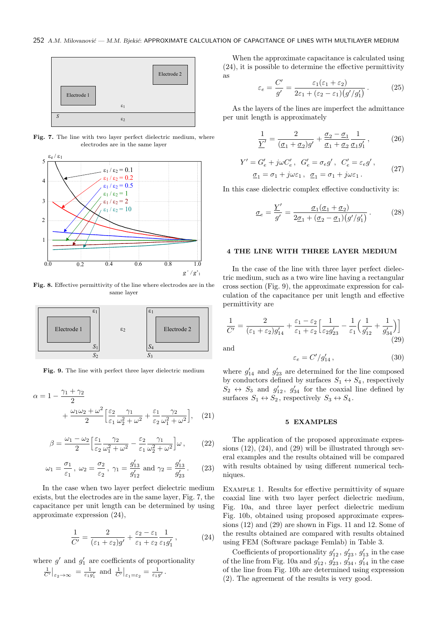

**Fig. 7.** The line with two layer perfect dielectric medium, where electrodes are in the same layer



**Fig. 8.** Effective permittivity of the line where electrodes are in the same layer



**Fig. 9.** The line with perfect three layer dielectric medium

$$
\alpha = 1 - \frac{\gamma_1 + \gamma_2}{2} + \frac{\omega_1 \omega_2 + \omega^2}{2} \left[ \frac{\varepsilon_2}{\varepsilon_1} \frac{\gamma_1}{\omega_2^2 + \omega^2} + \frac{\varepsilon_1}{\varepsilon_2} \frac{\gamma_2}{\omega_1^2 + \omega^2} \right], \quad (21)
$$

$$
\beta = \frac{\omega_1 - \omega_2}{2} \left[ \frac{\varepsilon_1}{\varepsilon_2} \frac{\gamma_2}{\omega_1^2 + \omega^2} - \frac{\varepsilon_2}{\varepsilon_1} \frac{\gamma_1}{\omega_2^2 + \omega^2} \right] \omega , \qquad (22)
$$

$$
\omega_1 = \frac{\sigma_1}{\varepsilon_1}, \ \omega_2 = \frac{\sigma_2}{\varepsilon_2}, \ \gamma_1 = \frac{g'_{13}}{g'_{12}} \text{ and } \gamma_2 = \frac{g'_{13}}{g'_{23}}.
$$
 (23)

In the case when two layer perfect dielectric medium exists, but the electrodes are in the same layer, Fig. 7, the capacitance per unit length can be determined by using approximate expression (24),

$$
\frac{1}{C'} = \frac{2}{(\varepsilon_1 + \varepsilon_2)g'} + \frac{\varepsilon_2 - \varepsilon_1}{\varepsilon_1 + \varepsilon_2} \frac{1}{\varepsilon_1 g'_1},\tag{24}
$$

where  $g'$  and  $g'_1$  are coefficients of proportionality  $\frac{1}{C'}\Big|_{\varepsilon_2 \to \infty} = \frac{1}{\varepsilon_1 g_1'} \text{ and } \frac{1}{C'}\Big|_{\varepsilon_1 = \varepsilon_2} = \frac{1}{\varepsilon_1 g_1'}$ .

When the approximate capacitance is calculated using (24), it is possible to determine the effective permittivity as

$$
\varepsilon_e = \frac{C'}{g'} = \frac{\varepsilon_1(\varepsilon_1 + \varepsilon_2)}{2\varepsilon_1 + (\varepsilon_2 - \varepsilon_1)(g'/g'_1)}.
$$
 (25)

As the layers of the lines are imperfect the admittance per unit length is approximately

$$
\frac{1}{\underline{Y}'} = \frac{2}{(\underline{\sigma}_1 + \underline{\sigma}_2)g'} + \frac{\underline{\sigma}_2 - \underline{\sigma}_1}{\underline{\sigma}_1 + \underline{\sigma}_2} \frac{1}{\underline{\sigma}_1 g'_1},\tag{26}
$$

$$
Y' = G'_e + j\omega C'_e, \ G'_e = \sigma_e g', \ C'_e = \varepsilon_e g',
$$
  

$$
\underline{\sigma}_1 = \sigma_1 + j\omega \varepsilon_1, \ \underline{\sigma}_1 = \sigma_1 + j\omega \varepsilon_1.
$$
 (27)

In this case dielectric complex effective conductivity is:

$$
\underline{\sigma}_e = \frac{Y'}{g'} = \frac{\underline{\sigma}_1(\underline{\sigma}_1 + \underline{\sigma}_2)}{2\underline{\sigma}_1 + (\underline{\sigma}_2 - \underline{\sigma}_1)(g'/g'_1)}.
$$
 (28)

### **4 THE LINE WITH THREE LAYER MEDIUM**

In the case of the line with three layer perfect dielectric medium, such as a two wire line having a rectangular cross section (Fig. 9), the approximate expression for calculation of the capacitance per unit length and effective permittivity are

$$
\frac{1}{C'} = \frac{2}{(\varepsilon_1 + \varepsilon_2)g'_{14}} + \frac{\varepsilon_1 - \varepsilon_2}{\varepsilon_1 + \varepsilon_2} \Big[ \frac{1}{\varepsilon_2 g'_{23}} - \frac{1}{\varepsilon_1} \Big( \frac{1}{g'_{12}} + \frac{1}{g'_{34}} \Big) \Big]
$$
(29)

and

$$
\varepsilon_e = C'/g'_{14} \,, \tag{30}
$$

where  $g'_{14}$  and  $g'_{23}$  are determined for the line composed by conductors defined by surfaces  $S_1 \leftrightarrow S_4$ , respectively  $S_2 \leftrightarrow S_3$  and  $g'_{12}$ ,  $g'_{34}$  for the coaxial line defined by surfaces  $S_1 \leftrightarrow S_2$ , respectively  $S_3 \leftrightarrow S_4$ .

# **5 EXAMPLES**

The application of the proposed approximate expressions  $(12)$ ,  $(24)$ , and  $(29)$  will be illustrated through several examples and the results obtained will be compared with results obtained by using different numerical techniques.

EXAMPLE 1. Results for effective permittivity of square coaxial line with two layer perfect dielectric medium, Fig. 10a, and three layer perfect dielectric medium Fig. 10b, obtained using proposed approximate expressions (12) and (29) are shown in Figs. 11 and 12. Some of the results obtained are compared with results obtained using FEM (Software package Femlab) in Table 3.

Coefficients of proportionality  $g'_{12}$ ,  $g'_{23}$ ,  $g'_{13}$  in the case of the line from Fig. 10a and  $g'_{12}$ ,  $g'_{23}$ ,  $g'_{34}$ ,  $g'_{14}$  in the case of the line from Fig. 10b are determined using expression (2). The agreement of the results is very good.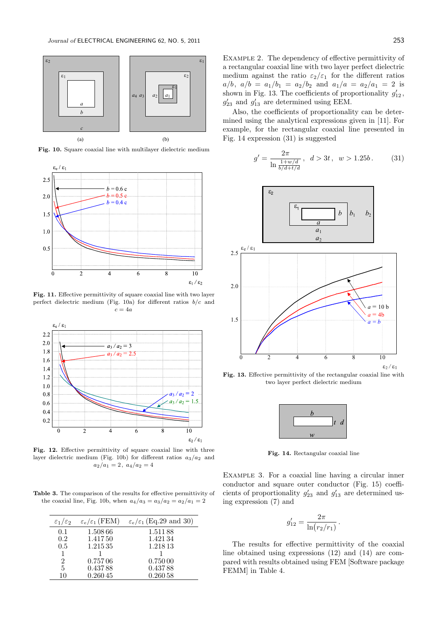

**Fig. 10.** Square coaxial line with multilayer dielectric medium



Fig. 11. Effective permittivity of square coaxial line with two layer perfect dielectric medium (Fig. 10a) for different ratios *b/c* and *c* = 4*a*



**Fig. 12.** Effective permittivity of square coaxial line with three layer dielectric medium (Fig. 10b) for different ratios *a*3*/a*<sup>2</sup> and  $a_2/a_1 = 2$ ,  $a_4/a_2 = 4$ 

**Table 3.** The comparison of the results for effective permittivity of the coaxial line, Fig. 10b, when  $a_4/a_3 = a_3/a_2 = a_2/a_1 = 2$ 

| $\varepsilon_1/\varepsilon_2$ | $\varepsilon_e/\varepsilon_1$ (FEM) | $\varepsilon_e/\varepsilon_1$ (Eq.29 and 30) |
|-------------------------------|-------------------------------------|----------------------------------------------|
| 0.1                           | 1.50866                             | 1.51188                                      |
| 0.2                           | 1.41750                             | 1.42134                                      |
| 0.5                           | 1.21535                             | 1.21813                                      |
| 1                             |                                     |                                              |
| $\overline{2}$                | 0.75706                             | 0.75000                                      |
| 5                             | 0.43788                             | 0.43788                                      |
| 10                            | 0.26045                             | 0.26058                                      |

Example 2. The dependency of effective permittivity of a rectangular coaxial line with two layer perfect dielectric medium against the ratio  $\varepsilon_2/\varepsilon_1$  for the different ratios  $a/b$ ,  $a/b = a_1/b_1 = a_2/b_2$  and  $a_1/a = a_2/a_1 = 2$  is shown in Fig. 13. The coefficients of proportionality  $g'_{12}$ ,  $g'_{23}$  and  $g'_{13}$  are determined using EEM.

Also, the coefficients of proportionality can be determined using the analytical expressions given in [11]. For example, for the rectangular coaxial line presented in Fig. 14 expression (31) is suggested

$$
g' = \frac{2\pi}{\ln \frac{1+w/d}{b/d + t/d}}, \quad d > 3t, \quad w > 1.25b. \tag{31}
$$



**Fig. 13.** Effective permittivity of the rectangular coaxial line with two layer perfect dielectric medium



**Fig. 14.** Rectangular coaxial line

EXAMPLE 3. For a coaxial line having a circular inner conductor and square outer conductor (Fig. 15) coefficients of proportionality  $g'_{23}$  and  $g'_{13}$  are determined using expression (7) and

$$
g'_{12} = \frac{2\pi}{\ln(r_2/r_1)}.
$$

The results for effective permittivity of the coaxial line obtained using expressions (12) and (14) are compared with results obtained using FEM [Software package FEMM] in Table 4.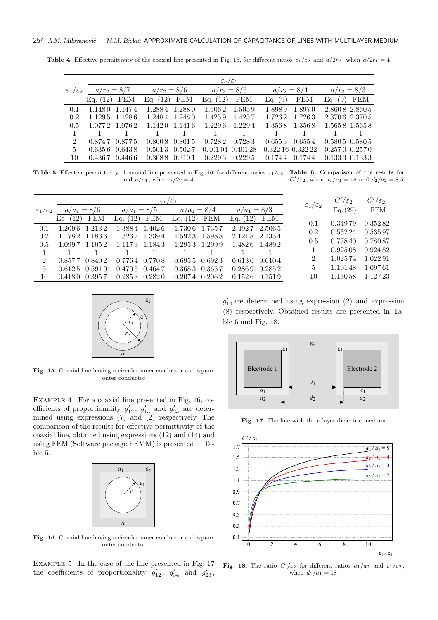**Table 4.** Effective permittivity of the coaxial line presented in Fig. 15, for different ratios  $\varepsilon_1/\varepsilon_2$  and  $a/2r_2$ , when  $a/2r_1 = 4$ 

|                             | $\varepsilon_e/\varepsilon_1$               |        |                   |               |                   |         |               |                   |                   |                   |
|-----------------------------|---------------------------------------------|--------|-------------------|---------------|-------------------|---------|---------------|-------------------|-------------------|-------------------|
|                             | $\varepsilon_1/\varepsilon_2$ $a/r_2 = 8/7$ |        | $a/r_2 = 8/6$     |               | $a/r_2 = 8/5$     |         | $a/r_2 = 8/4$ |                   | $a/r_2 = 8/3$     |                   |
|                             | Eq. $(12)$                                  | FEM    | Eq. $(12)$        | FEM           | Eq. $(12)$        | FEM     | Eq. $(9)$     | <b>FEM</b>        | Eq. (9)           | FEM               |
| 0.1                         | 1.1480 1.1474                               |        |                   | 1.2884 1.2880 | 1.5062            | 1.5059  | 1.898.9       | 1.8970            |                   | 2.8608 2.8605     |
| 0.2                         | 1.1295 1.1286                               |        | 1.2484 1.2480     |               | 1.425.9           | 1.425.7 | 1.7262        | 1.7263            | 2.3706 2.3705     |                   |
| 0.5                         | 1.0772 1.0762                               |        | 1.1420 1.1416     |               | 1.229.6           | 1.2294  | 1.3568        | 1.3568            |                   | 1.5658 1.5658     |
|                             |                                             |        |                   |               |                   |         |               |                   |                   |                   |
| $\mathcal{D}_{\mathcal{L}}$ | 0.874.7                                     | 0.8775 | 0.8008            | 0.8015        | 0.7282            | 0.7283  | 0.6553        | 0.6554            |                   | $0.5805$ $0.5805$ |
| $5^{\circ}$                 | 0.6356                                      | 0.6438 | $0.5013$ $0.5027$ |               | 0.401 04 0.401 28 |         |               | 0.322 16 0.322 22 | $0.2570$ $0.2570$ |                   |
| 10                          | 0.4367                                      | 0.4466 | 0.308.8           | 0.3101        | 0.229.3           | 0.229.5 | 0.1744        | 0.1744            | 0.1333 0.1333     |                   |

**Table 5.** Effective permittivity of coaxial line presented in Fig. 16, for different ratios  $\varepsilon_1/\varepsilon_2$  **Table 6.** Comparison of the results for and  $a/a_1$ , when  $a/2r = 4$ *C*<sup> $\prime$ </sup>/ $\varepsilon_2$ , when  $d_1/a_1 = 18$  and  $d_2/a_2 = 8.5$ 

|                               |                          | $\varepsilon_e/\varepsilon_1$ |                          |                      |                               |            | $C'/\varepsilon_2$ |
|-------------------------------|--------------------------|-------------------------------|--------------------------|----------------------|-------------------------------|------------|--------------------|
| $\varepsilon_1/\varepsilon_2$ | $a/a_1 = 8/6$            | $a/a_1 = 8/5$                 | $a/a_1 = 8/4$            | $a/a_1 = 8/3$        | $\varepsilon_1/\varepsilon_2$ | Eq. $(29)$ | <b>FEM</b>         |
|                               | <b>FEM</b><br>Eq. $(12)$ | <b>FEM</b><br>Eq. $(12)$      | Eq. $(12)$<br><b>FEM</b> | Eq. $(12)$ FEM       | 0.1                           | 0.349.79   | 0.35282            |
| 0.1                           | 1.2096 1.2132            | 1.3884 1.4026                 | 1.7357<br>1.7306         | 2.4927<br>$2.506\,5$ | 0.2                           | 0.532 24   | 0.53597            |
| 0.2                           | 1.1782 1.1836            | 1.3267 1.3394                 | 1.5923 1.5988            | 2.1218 2.1354        | 0.5                           | 0.77840    | 0.78087            |
| 0.5                           | 1.0997 1.1052            | 1.1173 1.1843                 | 1.2953 1.2999            | 1.4826 1.4892        |                               | 0.92508    | 0.92482            |
| $\mathcal{D}$                 | 0.8402<br>0.857.7        | $0.7764$ $0.7708$             | $0.6955$ $0.6923$        | 0.6130 0.6104        | $\overline{2}$                | 1.02574    | 1.022.91           |
|                               |                          |                               |                          |                      | 5                             | 1.101.48   | 1.09761            |
| 10                            | $0.4180$ $0.3957$        | $0.2853$ $0.2820$             | $0.2074$ $0.2062$        | $0.1526$ $0.1519$    | 10                            | 1.130 58   | 1.12723            |
| 5                             | $0.6125$ $0.5910$        | $0.4705$ $0.4647$             | $0.3683$ $0.3657$        | $0.2869$ $0.2852$    |                               |            |                    |



**Fig. 15.** Coaxial line having a circular inner conductor and square outer conductor

Example 4. For a coaxial line presented in Fig. 16, coefficients of proportionality  $g'_{12}$ ,  $g'_{13}$  and  $g'_{23}$  are determined using expressions (7) and (2) respectively. The comparison of the results for effective permittivity of the coaxial line, obtained using expressions (12) and (14) and using FEM (Software package FEMM) is presented in Table 5.



Fig. 16. Coaxial line having a circular inner conductor and square outer conductor

Example 5. In the case of the line presented in Fig. 17 the coefficients of proportionality  $g'_{12}$ ,  $g'_{34}$  and  $g'_{23}$ ,

 $g'_{14}$  are determined using expression (2) and expression (8) respectively. Obtained results are presented in Table 6 and Fig. 18.



Fig. 17. The line with three layer dielectric medium



**Fig. 18.** The ratio  $C'/\varepsilon_2$  for different ratios  $a_1/a_2$  and  $\varepsilon_1/\varepsilon_2$ , when  $d_1/a_1 = 18$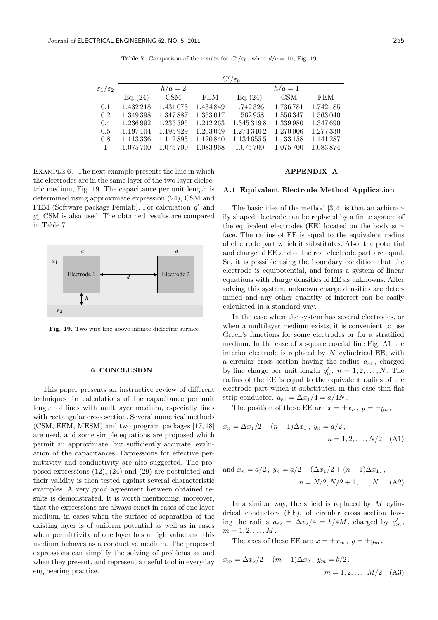|                               | $C'/\varepsilon_0$ |            |            |             |            |            |  |
|-------------------------------|--------------------|------------|------------|-------------|------------|------------|--|
| $\varepsilon_1/\varepsilon_2$ |                    | $h/a=2$    |            |             | $h/a=1$    |            |  |
|                               | Eq. (24)           | <b>CSM</b> | <b>FEM</b> | Eq. (24)    | <b>CSM</b> | <b>FEM</b> |  |
| 0.1                           | 1.432218           | 1.431 073  | 1.434849   | 1.742326    | 1.736781   | 1.742185   |  |
| 0.2                           | 1.349398           | 1.347887   | 1.353017   | 1.562958    | 1.556347   | 1.563040   |  |
| 0.4                           | 1.236 992          | 1.235 595  | 1.242 263  | 1.3453198   | 1.339.980  | 1.347690   |  |
| 0.5                           | 1.197104           | 1.195929   | 1.203049   | 1.274 340 2 | 1.270 006  | 1.277330   |  |
| 0.8                           | 1.113 336          | 1.112893   | 1.120840   | 1.1346555   | 1.133 158  | 1.141287   |  |
|                               | 1.075700           | 1.075 700  | 1.083.968  | 1.075 700   | 1.075 700  | 1.083874   |  |

**Table 7.** Comparison of the results for  $C'/\varepsilon_0$ , when  $d/a = 10$ , Fig. 19

EXAMPLE 6. The next example presents the line in which the electrodes are in the same layer of the two layer dielectric medium, Fig. 19. The capacitance per unit length is determined using approximate expression (24), CSM and FEM (Software package Femlab). For calculation *g ′* and *g ′* <sup>1</sup> CSM is also used. The obtained results are compared in Table 7.



**Fig. 19.** Two wire line above infinite dielectric surface

# **6 CONCLUSION**

This paper presents an instructive review of different techniques for calculations of the capacitance per unit length of lines with multilayer medium, especially lines with rectangular cross section. Several numerical methods (CSM, EEM, MESM) and two program packages [17, 18] are used, and some simple equations are proposed which permit an approximate, but sufficiently accurate, evaluation of the capacitances. Expressions for effective permittivity and conductivity are also suggested. The proposed expressions (12), (24) and (29) are postulated and their validity is then tested against several characteristic examples. A very good agreement between obtained results is demonstrated. It is worth mentioning, moreover, that the expressions are always exact in cases of one layer medium, in cases when the surface of separation of the existing layer is of uniform potential as well as in cases when permittivity of one layer has a high value and this medium behaves as a conductive medium. The proposed expressions can simplify the solving of problems as and when they present, and represent a useful tool in everyday engineering practice.

# **APPENDIX A**

# **A.1 Equivalent Electrode Method Application**

The basic idea of the method [3, 4] is that an arbitrarily shaped electrode can be replaced by a finite system of the equivalent electrodes (EE) located on the body surface. The radius of EE is equal to the equivalent radius of electrode part which it substitutes. Also, the potential and charge of EE and of the real electrode part are equal. So, it is possible using the boundary condition that the electrode is equipotential, and forms a system of linear equations with charge densities of EE as unknowns. After solving this system, unknown charge densities are determined and any other quantity of interest can be easily calculated in a standard way.

In the case when the system has several electrodes, or when a multilayer medium exists, it is convenient to use Green's functions for some electrodes or for a stratified medium. In the case of a square coaxial line Fig. A1 the interior electrode is replaced by *N* cylindrical EE, with a circular cross section having the radius *ae*<sup>1</sup> , charged by line charge per unit length  $q'_n$ ,  $n = 1, 2, ..., N$ . The radius of the EE is equal to the equivalent radius of the electrode part which it substitutes, in this case thin flat strip conductor,  $a_{e1} = \Delta x_1/4 = a/4N$ .

The position of these EE are  $x = \pm x_n$ ,  $y = \pm y_n$ ,

$$
x_n = \Delta x_1/2 + (n-1)\Delta x_1, \ y_n = a/2, n = 1, 2, ..., N/2 \quad (A1)
$$

and 
$$
x_n = a/2
$$
,  $y_n = a/2 - (\Delta x_1/2 + (n-1)\Delta x_1)$ ,  
\n $n = N/2, N/2 + 1, ..., N$ . (A2)

In a similar way, the shield is replaced by *M* cylindrical conductors (EE), of circular cross section having the radius  $a_{e2} = \Delta x_2/4 = b/4M$ , charged by  $q'_m$ ,  $m = 1, 2, \ldots, M$ .

The axes of these EE are  $x = \pm x_m$ ,  $y = \pm y_m$ ,

$$
x_m = \Delta x_2/2 + (m-1)\Delta x_2, \ y_m = b/2, \n m = 1, 2, ..., M/2 \quad (A3)
$$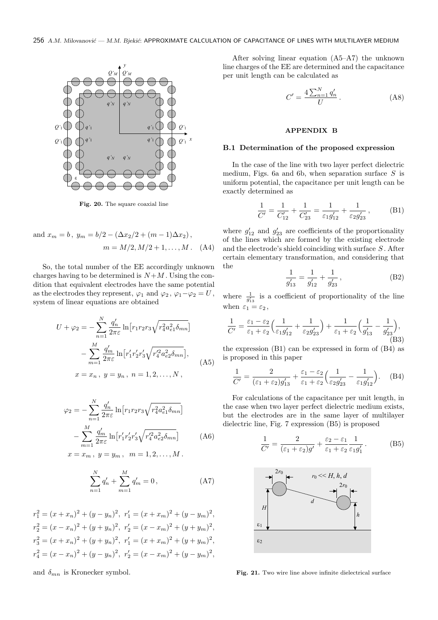

**Fig. 20.** The square coaxial line

and 
$$
x_m = b
$$
,  $y_m = b/2 - (\Delta x_2/2 + (m - 1)\Delta x_2)$ ,  
\n $m = M/2, M/2 + 1, ..., M$ . (A4)

So, the total number of the EE accordingly unknown charges having to be determined is  $N+M$ . Using the condition that equivalent electrodes have the same potential as the electrodes they represent,  $\varphi_1$  and  $\varphi_2$ ,  $\varphi_1 - \varphi_2 = U$ , system of linear equations are obtained

$$
U + \varphi_2 = -\sum_{n=1}^{N} \frac{q'_n}{2\pi \varepsilon} \ln[r_1 r_2 r_3 \sqrt{r_4^2 a_{e1}^2 \delta_{mn}}]
$$

$$
-\sum_{m=1}^{M} \frac{q'_m}{2\pi \varepsilon} \ln[r'_1 r'_2 r'_3 \sqrt{r_4^2 a_{e2}^2 \delta_{mn}}],
$$

$$
x = x_n, y = y_n, n = 1, 2, ..., N,
$$
 (A5)

$$
\varphi_2 = -\sum_{n=1}^{N} \frac{q'_n}{2\pi \varepsilon} \ln \left[ r_1 r_2 r_3 \sqrt{r_4^2 a_{e1}^2 \delta_{mn}} \right] - \sum_{m=1}^{M} \frac{q'_m}{2\pi \varepsilon} \ln \left[ r'_1 r'_2 r'_3 \sqrt{r_4'^2 a_{e2}^2 \delta_{mn}} \right]
$$
(A6)

$$
x = x_m
$$
,  $y = y_m$ ,  $m = 1, 2, ..., M$ .

$$
\sum_{n=1}^{N} q'_n + \sum_{m=1}^{M} q'_m = 0, \qquad (A7)
$$

 $r_1^2 = (x + x_n)^2 + (y - y_n)^2$ ,  $r'_1 = (x + x_m)^2 + (y - y_m)^2$ ,  $r_2^2 = (x - x_n)^2 + (y + y_n)^2$ ,  $r'_2 = (x - x_m)^2 + (y + y_m)^2$ ,  $r_3^2 = (x + x_n)^2 + (y + y_n)^2$ ,  $r'_1 = (x + x_m)^2 + (y + y_m)^2$ ,  $r_4^2 = (x - x_n)^2 + (y - y_n)^2$ ,  $r'_2 = (x - x_m)^2 + (y - y_m)^2$ ,

and  $\delta_{mn}$  is Kronecker symbol.

After solving linear equation (A5–A7) the unknown line charges of the EE are determined and the capacitance per unit length can be calculated as

$$
C' = \frac{4\sum_{n=1}^{N} q'_n}{U}.
$$
 (A8)

# **APPENDIX B**

## **B.1 Determination of the proposed expression**

In the case of the line with two layer perfect dielectric medium, Figs. 6a and 6b, when separation surface *S* is uniform potential, the capacitance per unit length can be exactly determined as

$$
\frac{1}{C'} = \frac{1}{C'_{12}} + \frac{1}{C'_{23}} = \frac{1}{\varepsilon_1 g'_{12}} + \frac{1}{\varepsilon_2 g'_{23}},
$$
 (B1)

where  $g'_{12}$  and  $g'_{23}$  are coefficients of the proportionality of the lines which are formed by the existing electrode and the electrode's shield coinciding with surface *S* . After certain elementary transformation, and considering that the

$$
\frac{1}{g'_{13}} = \frac{1}{g'_{12}} + \frac{1}{g'_{23}},
$$
 (B2)

where  $\frac{1}{g'_{13}}$  is a coefficient of proportionality of the line when  $\varepsilon_1 = \varepsilon_2$ ,

$$
\frac{1}{C'} = \frac{\varepsilon_1 - \varepsilon_2}{\varepsilon_1 + \varepsilon_2} \Big( \frac{1}{\varepsilon_1 g'_{12}} + \frac{1}{\varepsilon_2 g'_{23}} \Big) + \frac{1}{\varepsilon_1 + \varepsilon_2} \Big( \frac{1}{g'_{13}} - \frac{1}{g'_{23}} \Big),\tag{B3}
$$

the expression (B1) can be expressed in form of (B4) as is proposed in this paper

$$
\frac{1}{C'} = \frac{2}{(\varepsilon_1 + \varepsilon_2)g'_{13}} + \frac{\varepsilon_1 - \varepsilon_2}{\varepsilon_1 + \varepsilon_2} \Big(\frac{1}{\varepsilon_2 g'_{23}} - \frac{1}{\varepsilon_1 g'_{12}}\Big). \tag{B4}
$$

For calculations of the capacitance per unit length, in the case when two layer perfect dielectric medium exists, but the electrodes are in the same layer of multilayer dielectric line, Fig. 7 expression (B5) is proposed

$$
\frac{1}{C'} = \frac{2}{(\varepsilon_1 + \varepsilon_2)g'} + \frac{\varepsilon_2 - \varepsilon_1}{\varepsilon_1 + \varepsilon_2} \frac{1}{\varepsilon_1 g'_1}.
$$
 (B5)



**Fig. 21.** Two wire line above infinite dielectrical surface